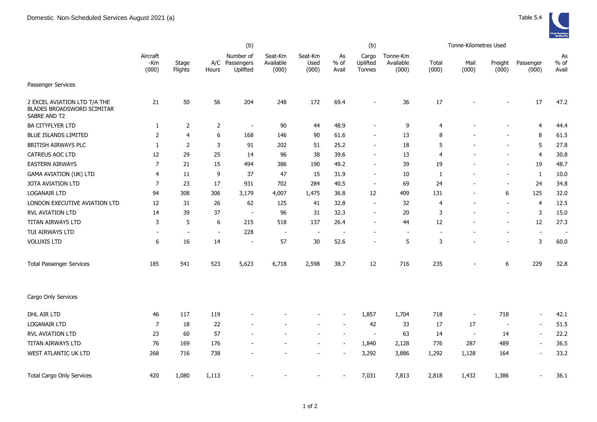|                                                                            |                          |                          |                | (b)                                     |                               |                          |                          | (b)                         |                                |                | Tonne-Kilometres Used    |                          |                    |                       |
|----------------------------------------------------------------------------|--------------------------|--------------------------|----------------|-----------------------------------------|-------------------------------|--------------------------|--------------------------|-----------------------------|--------------------------------|----------------|--------------------------|--------------------------|--------------------|-----------------------|
|                                                                            | Aircraft<br>-Km<br>(000) | Stage<br>Flights         | Hours          | Number of<br>A/C Passengers<br>Uplifted | Seat-Km<br>Available<br>(000) | Seat-Km<br>Used<br>(000) | As<br>$%$ of<br>Avail    | Cargo<br>Uplifted<br>Tonnes | Tonne-Km<br>Available<br>(000) | Total<br>(000) | Mail<br>(000)            | Freight<br>(000)         | Passenger<br>(000) | As<br>$%$ of<br>Avail |
| Passenger Services                                                         |                          |                          |                |                                         |                               |                          |                          |                             |                                |                |                          |                          |                    |                       |
| 2 EXCEL AVIATION LTD T/A THE<br>BLADES BROADSWORD SCIMITAR<br>SABRE AND T2 | 21                       | 50                       | 56             | 204                                     | 248                           | 172                      | 69.4                     |                             | 36                             | 17             |                          |                          | 17                 | 47.2                  |
| BA CITYFLYER LTD                                                           | $\mathbf{1}$             | $\overline{2}$           | $\overline{2}$ | $\overline{\phantom{a}}$                | 90                            | 44                       | 48.9                     |                             | $\mathsf 9$                    | $\overline{4}$ |                          |                          | $\overline{4}$     | 44.4                  |
| BLUE ISLANDS LIMITED                                                       | 2                        | 4                        | 6              | 168                                     | 146                           | 90                       | 61.6                     |                             | 13                             | 8              |                          |                          | 8                  | 61.5                  |
| <b>BRITISH AIRWAYS PLC</b>                                                 | 1                        | 2                        | 3              | 91                                      | 202                           | 51                       | 25.2                     |                             | 18                             | 5              |                          |                          | 5                  | 27.8                  |
| CATREUS AOC LTD                                                            | 12                       | 29                       | 25             | 14                                      | 96                            | 38                       | 39.6                     |                             | 13                             | $\overline{4}$ |                          |                          | $\overline{4}$     | 30.8                  |
| <b>EASTERN AIRWAYS</b>                                                     | 7                        | 21                       | 15             | 494                                     | 386                           | 190                      | 49.2                     |                             | 39                             | 19             |                          | $\overline{\phantom{a}}$ | 19                 | 48.7                  |
| <b>GAMA AVIATION (UK) LTD</b>                                              | 4                        | 11                       | 9              | 37                                      | 47                            | 15                       | 31.9                     |                             | 10                             | 1              |                          | $\overline{\phantom{a}}$ | $\mathbf{1}$       | 10.0                  |
| JOTA AVIATION LTD                                                          | $\overline{7}$           | 23                       | 17             | 931                                     | 702                           | 284                      | 40.5                     | $\overline{\phantom{a}}$    | 69                             | 24             | $\overline{a}$           | $\blacksquare$           | 24                 | 34.8                  |
| <b>LOGANAIR LTD</b>                                                        | 94                       | 308                      | 306            | 3,179                                   | 4,007                         | 1,475                    | 36.8                     | 12                          | 409                            | 131            | $\overline{a}$           | 6                        | 125                | 32.0                  |
| LONDON EXECUTIVE AVIATION LTD                                              | 12                       | 31                       | 26             | 62                                      | 125                           | 41                       | 32.8                     | $\overline{a}$              | 32                             | 4              | $\overline{\phantom{a}}$ | $\sim$                   | $\overline{4}$     | 12.5                  |
| <b>RVL AVIATION LTD</b>                                                    | 14                       | 39                       | 37             | $\overline{\phantom{a}}$                | 96                            | 31                       | 32.3                     |                             | 20                             | 3              |                          | $\overline{\phantom{a}}$ | 3                  | 15.0                  |
| TITAN AIRWAYS LTD                                                          | 3                        | 5                        | 6              | 215                                     | 518                           | 137                      | 26.4                     |                             | 44                             | 12             |                          | $\overline{\phantom{a}}$ | 12                 | 27.3                  |
| TUI AIRWAYS LTD                                                            | $\sim$                   | $\overline{\phantom{a}}$ | $\sim$         | 228                                     | $\sim$                        | $\sim$                   | $\overline{\phantom{a}}$ |                             | $\sim$                         |                |                          |                          | $\sim$             | $\sim$                |
| <b>VOLUXIS LTD</b>                                                         | 6                        | 16                       | 14             | $\overline{\phantom{a}}$                | 57                            | 30                       | 52.6                     |                             | 5                              | 3              |                          |                          | 3                  | 60.0                  |
| <b>Total Passenger Services</b>                                            | 185                      | 541                      | 523            | 5,623                                   | 6,718                         | 2,598                    | 38.7                     | 12                          | 716                            | 235            |                          | 6                        | 229                | 32.8                  |
| Cargo Only Services                                                        |                          |                          |                |                                         |                               |                          |                          |                             |                                |                |                          |                          |                    |                       |
| DHL AIR LTD                                                                | 46                       | 117                      | 119            |                                         |                               |                          |                          | 1,857                       | 1,704                          | 718            | $\overline{\phantom{a}}$ | 718                      | $\blacksquare$     | 42.1                  |
| <b>LOGANAIR LTD</b>                                                        | $\overline{7}$           | 18                       | 22             |                                         |                               |                          |                          | 42                          | 33                             | 17             | 17                       | $\blacksquare$           | $\blacksquare$     | 51.5                  |
| RVL AVIATION LTD                                                           | 23                       | 60                       | 57             |                                         |                               |                          | $\sim$                   | $\sim$                      | 63                             | 14             | $\sim$                   | 14                       | $\sim$             | 22.2                  |
| TITAN AIRWAYS LTD                                                          | 76                       | 169                      | 176            |                                         |                               |                          |                          | 1,840                       | 2,128                          | 776            | 287                      | 489                      | $\blacksquare$     | 36.5                  |
| WEST ATLANTIC UK LTD                                                       | 268                      | 716                      | 738            |                                         |                               |                          |                          | 3,292                       | 3,886                          | 1,292          | 1,128                    | 164                      | $\sim$             | 33.2                  |
| <b>Total Cargo Only Services</b>                                           | 420                      | 1,080                    | 1,113          |                                         |                               |                          |                          | 7,031                       | 7,813                          | 2,818          | 1,432                    | 1,386                    |                    | 36.1                  |